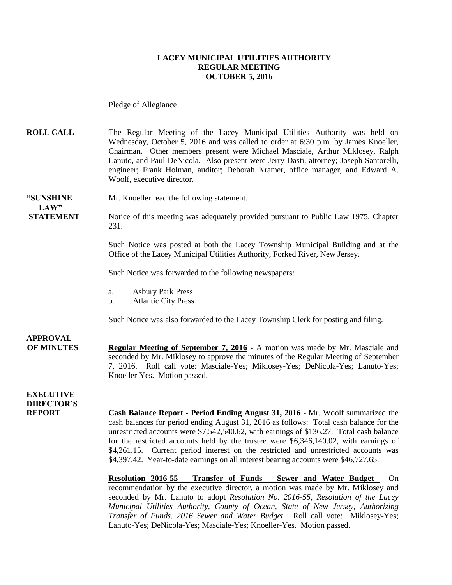#### **LACEY MUNICIPAL UTILITIES AUTHORITY REGULAR MEETING OCTOBER 5, 2016**

Pledge of Allegiance

**ROLL CALL** The Regular Meeting of the Lacey Municipal Utilities Authority was held on Wednesday, October 5, 2016 and was called to order at 6:30 p.m. by James Knoeller, Chairman. Other members present were Michael Masciale, Arthur Miklosey, Ralph Lanuto, and Paul DeNicola. Also present were Jerry Dasti, attorney; Joseph Santorelli, engineer; Frank Holman, auditor; Deborah Kramer, office manager, and Edward A. Woolf, executive director.

### **"SUNSHINE** Mr. Knoeller read the following statement. **LAW"**

**STATEMENT** Notice of this meeting was adequately provided pursuant to Public Law 1975, Chapter 231.

> Such Notice was posted at both the Lacey Township Municipal Building and at the Office of the Lacey Municipal Utilities Authority, Forked River, New Jersey.

Such Notice was forwarded to the following newspapers:

- a. Asbury Park Press
- b. Atlantic City Press

Such Notice was also forwarded to the Lacey Township Clerk for posting and filing.

### **APPROVAL OF MINUTES Regular Meeting of September 7, 2016 -** A motion was made by Mr. Masciale and seconded by Mr. Miklosey to approve the minutes of the Regular Meeting of September 7, 2016. Roll call vote: Masciale-Yes; Miklosey-Yes; DeNicola-Yes; Lanuto-Yes; Knoeller-Yes. Motion passed.

**EXECUTIVE DIRECTOR'S**

**Cash Balance Report - Period Ending August 31, 2016** - Mr. Woolf summarized the cash balances for period ending August 31, 2016 as follows: Total cash balance for the unrestricted accounts were \$7,542,540.62, with earnings of \$136.27. Total cash balance for the restricted accounts held by the trustee were \$6,346,140.02, with earnings of \$4,261.15. Current period interest on the restricted and unrestricted accounts was \$4,397.42. Year-to-date earnings on all interest bearing accounts were \$46,727.65.

**Resolution 2016-55 – Transfer of Funds – Sewer and Water Budget** – On recommendation by the executive director, a motion was made by Mr. Miklosey and seconded by Mr. Lanuto to adopt *Resolution No. 2016-55, Resolution of the Lacey Municipal Utilities Authority, County of Ocean, State of New Jersey, Authorizing Transfer of Funds, 2016 Sewer and Water Budget.* Roll call vote: Miklosey-Yes; Lanuto-Yes; DeNicola-Yes; Masciale-Yes; Knoeller-Yes. Motion passed.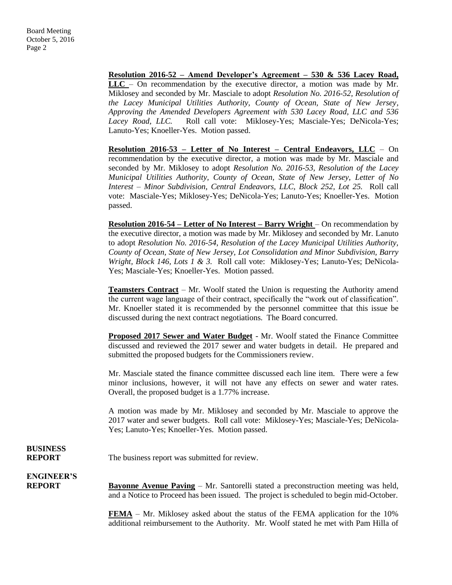**Resolution 2016-52 – Amend Developer's Agreement – 530 & 536 Lacey Road, LLC** – On recommendation by the executive director, a motion was made by Mr. Miklosey and seconded by Mr. Masciale to adopt *Resolution No. 2016-52, Resolution of the Lacey Municipal Utilities Authority, County of Ocean, State of New Jersey, Approving the Amended Developers Agreement with 530 Lacey Road, LLC and 536*  Lacey Road, LLC. Roll call vote: Miklosey-Yes; Masciale-Yes; DeNicola-Yes; Lanuto-Yes; Knoeller-Yes. Motion passed.

**Resolution 2016-53 – Letter of No Interest – Central Endeavors, LLC** – On recommendation by the executive director, a motion was made by Mr. Masciale and seconded by Mr. Miklosey to adopt *Resolution No. 2016-53, Resolution of the Lacey Municipal Utilities Authority, County of Ocean, State of New Jersey, Letter of No Interest – Minor Subdivision, Central Endeavors, LLC, Block 252, Lot 25.* Roll call vote: Masciale-Yes; Miklosey-Yes; DeNicola-Yes; Lanuto-Yes; Knoeller-Yes. Motion passed.

**Resolution 2016-54 – Letter of No Interest – Barry Wright** – On recommendation by the executive director, a motion was made by Mr. Miklosey and seconded by Mr. Lanuto to adopt *Resolution No. 2016-54, Resolution of the Lacey Municipal Utilities Authority, County of Ocean, State of New Jersey, Lot Consolidation and Minor Subdivision, Barry Wright, Block 146, Lots 1 & 3.* Roll call vote: Miklosey-Yes; Lanuto-Yes; DeNicola-Yes; Masciale-Yes; Knoeller-Yes. Motion passed.

**Teamsters Contract** – Mr. Woolf stated the Union is requesting the Authority amend the current wage language of their contract, specifically the "work out of classification". Mr. Knoeller stated it is recommended by the personnel committee that this issue be discussed during the next contract negotiations. The Board concurred.

**Proposed 2017 Sewer and Water Budget** - Mr. Woolf stated the Finance Committee discussed and reviewed the 2017 sewer and water budgets in detail. He prepared and submitted the proposed budgets for the Commissioners review.

Mr. Masciale stated the finance committee discussed each line item. There were a few minor inclusions, however, it will not have any effects on sewer and water rates. Overall, the proposed budget is a 1.77% increase.

A motion was made by Mr. Miklosey and seconded by Mr. Masciale to approve the 2017 water and sewer budgets. Roll call vote: Miklosey-Yes; Masciale-Yes; DeNicola-Yes; Lanuto-Yes; Knoeller-Yes. Motion passed.

# **BUSINESS**

**REPORT** The business report was submitted for review.

**ENGINEER'S**

**REPORT Bayonne Avenue Paving** – Mr. Santorelli stated a preconstruction meeting was held, and a Notice to Proceed has been issued. The project is scheduled to begin mid-October.

> **FEMA** – Mr. Miklosey asked about the status of the FEMA application for the 10% additional reimbursement to the Authority. Mr. Woolf stated he met with Pam Hilla of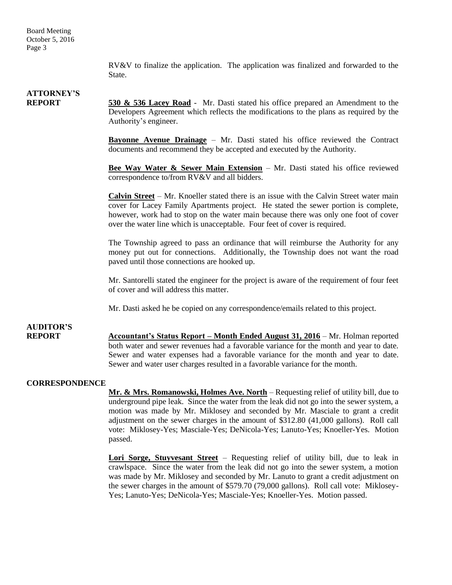RV&V to finalize the application. The application was finalized and forwarded to the State.

# **ATTORNEY'S**

**REPORT 530 & 536 Lacey Road** - Mr. Dasti stated his office prepared an Amendment to the Developers Agreement which reflects the modifications to the plans as required by the Authority's engineer.

> **Bayonne Avenue Drainage** – Mr. Dasti stated his office reviewed the Contract documents and recommend they be accepted and executed by the Authority.

> **Bee Way Water & Sewer Main Extension** – Mr. Dasti stated his office reviewed correspondence to/from RV&V and all bidders.

> **Calvin Street** – Mr. Knoeller stated there is an issue with the Calvin Street water main cover for Lacey Family Apartments project. He stated the sewer portion is complete, however, work had to stop on the water main because there was only one foot of cover over the water line which is unacceptable. Four feet of cover is required.

> The Township agreed to pass an ordinance that will reimburse the Authority for any money put out for connections. Additionally, the Township does not want the road paved until those connections are hooked up.

> Mr. Santorelli stated the engineer for the project is aware of the requirement of four feet of cover and will address this matter.

Mr. Dasti asked he be copied on any correspondence/emails related to this project.

### **AUDITOR'S**

**REPORT Accountant's Status Report – Month Ended August 31, 2016** – Mr. Holman reported both water and sewer revenues had a favorable variance for the month and year to date. Sewer and water expenses had a favorable variance for the month and year to date. Sewer and water user charges resulted in a favorable variance for the month.

#### **CORRESPONDENCE**

**Mr. & Mrs. Romanowski, Holmes Ave. North** – Requesting relief of utility bill, due to underground pipe leak. Since the water from the leak did not go into the sewer system, a motion was made by Mr. Miklosey and seconded by Mr. Masciale to grant a credit adjustment on the sewer charges in the amount of \$312.80 (41,000 gallons). Roll call vote: Miklosey-Yes; Masciale-Yes; DeNicola-Yes; Lanuto-Yes; Knoeller-Yes. Motion passed.

**Lori Sorge, Stuyvesant Street** – Requesting relief of utility bill, due to leak in crawlspace. Since the water from the leak did not go into the sewer system, a motion was made by Mr. Miklosey and seconded by Mr. Lanuto to grant a credit adjustment on the sewer charges in the amount of \$579.70 (79,000 gallons). Roll call vote: Miklosey-Yes; Lanuto-Yes; DeNicola-Yes; Masciale-Yes; Knoeller-Yes. Motion passed.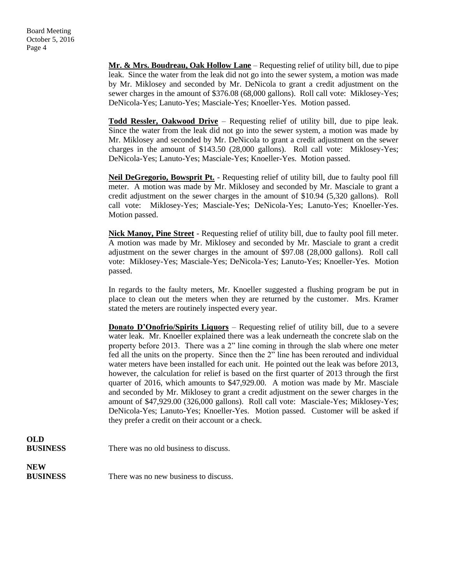**Mr. & Mrs. Boudreau, Oak Hollow Lane** – Requesting relief of utility bill, due to pipe leak. Since the water from the leak did not go into the sewer system, a motion was made by Mr. Miklosey and seconded by Mr. DeNicola to grant a credit adjustment on the sewer charges in the amount of \$376.08 (68,000 gallons). Roll call vote: Miklosey-Yes; DeNicola-Yes; Lanuto-Yes; Masciale-Yes; Knoeller-Yes. Motion passed.

**Todd Ressler, Oakwood Drive** – Requesting relief of utility bill, due to pipe leak. Since the water from the leak did not go into the sewer system, a motion was made by Mr. Miklosey and seconded by Mr. DeNicola to grant a credit adjustment on the sewer charges in the amount of \$143.50 (28,000 gallons). Roll call vote: Miklosey-Yes; DeNicola-Yes; Lanuto-Yes; Masciale-Yes; Knoeller-Yes. Motion passed.

**Neil DeGregorio, Bowsprit Pt.** - Requesting relief of utility bill, due to faulty pool fill meter. A motion was made by Mr. Miklosey and seconded by Mr. Masciale to grant a credit adjustment on the sewer charges in the amount of \$10.94 (5,320 gallons). Roll call vote: Miklosey-Yes; Masciale-Yes; DeNicola-Yes; Lanuto-Yes; Knoeller-Yes. Motion passed.

**Nick Manoy, Pine Street** - Requesting relief of utility bill, due to faulty pool fill meter. A motion was made by Mr. Miklosey and seconded by Mr. Masciale to grant a credit adjustment on the sewer charges in the amount of \$97.08 (28,000 gallons). Roll call vote: Miklosey-Yes; Masciale-Yes; DeNicola-Yes; Lanuto-Yes; Knoeller-Yes. Motion passed.

In regards to the faulty meters, Mr. Knoeller suggested a flushing program be put in place to clean out the meters when they are returned by the customer. Mrs. Kramer stated the meters are routinely inspected every year.

**Donato D'Onofrio/Spirits Liquors** – Requesting relief of utility bill, due to a severe water leak. Mr. Knoeller explained there was a leak underneath the concrete slab on the property before 2013. There was a 2" line coming in through the slab where one meter fed all the units on the property. Since then the 2" line has been rerouted and individual water meters have been installed for each unit. He pointed out the leak was before 2013, however, the calculation for relief is based on the first quarter of 2013 through the first quarter of 2016, which amounts to \$47,929.00. A motion was made by Mr. Masciale and seconded by Mr. Miklosey to grant a credit adjustment on the sewer charges in the amount of \$47,929.00 (326,000 gallons). Roll call vote: Masciale-Yes; Miklosey-Yes; DeNicola-Yes; Lanuto-Yes; Knoeller-Yes. Motion passed. Customer will be asked if they prefer a credit on their account or a check.

**OLD**

**BUSINESS** There was no old business to discuss.

**NEW**

**BUSINESS** There was no new business to discuss.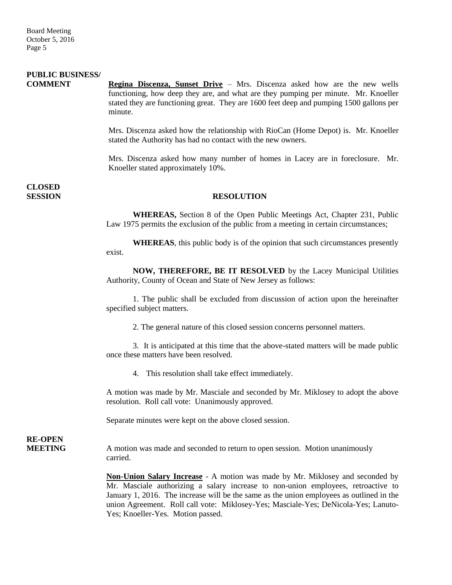### **PUBLIC BUSINESS/**

**COMMENT Regina Discenza, Sunset Drive** – Mrs. Discenza asked how are the new wells functioning, how deep they are, and what are they pumping per minute. Mr. Knoeller stated they are functioning great. They are 1600 feet deep and pumping 1500 gallons per minute.

> Mrs. Discenza asked how the relationship with RioCan (Home Depot) is. Mr. Knoeller stated the Authority has had no contact with the new owners.

> Mrs. Discenza asked how many number of homes in Lacey are in foreclosure. Mr. Knoeller stated approximately 10%.

**CLOSED** 

### **SESSION RESOLUTION**

**WHEREAS,** Section 8 of the Open Public Meetings Act, Chapter 231, Public Law 1975 permits the exclusion of the public from a meeting in certain circumstances;

**WHEREAS**, this public body is of the opinion that such circumstances presently exist.

**NOW, THEREFORE, BE IT RESOLVED** by the Lacey Municipal Utilities Authority, County of Ocean and State of New Jersey as follows:

1. The public shall be excluded from discussion of action upon the hereinafter specified subject matters.

2. The general nature of this closed session concerns personnel matters.

3. It is anticipated at this time that the above-stated matters will be made public once these matters have been resolved.

4. This resolution shall take effect immediately.

A motion was made by Mr. Masciale and seconded by Mr. Miklosey to adopt the above resolution. Roll call vote: Unanimously approved.

Separate minutes were kept on the above closed session.

**RE-OPEN**

**MEETING** A motion was made and seconded to return to open session. Motion unanimously carried.

> **Non-Union Salary Increase** - A motion was made by Mr. Miklosey and seconded by Mr. Masciale authorizing a salary increase to non-union employees, retroactive to January 1, 2016. The increase will be the same as the union employees as outlined in the union Agreement. Roll call vote: Miklosey-Yes; Masciale-Yes; DeNicola-Yes; Lanuto-Yes; Knoeller-Yes. Motion passed.